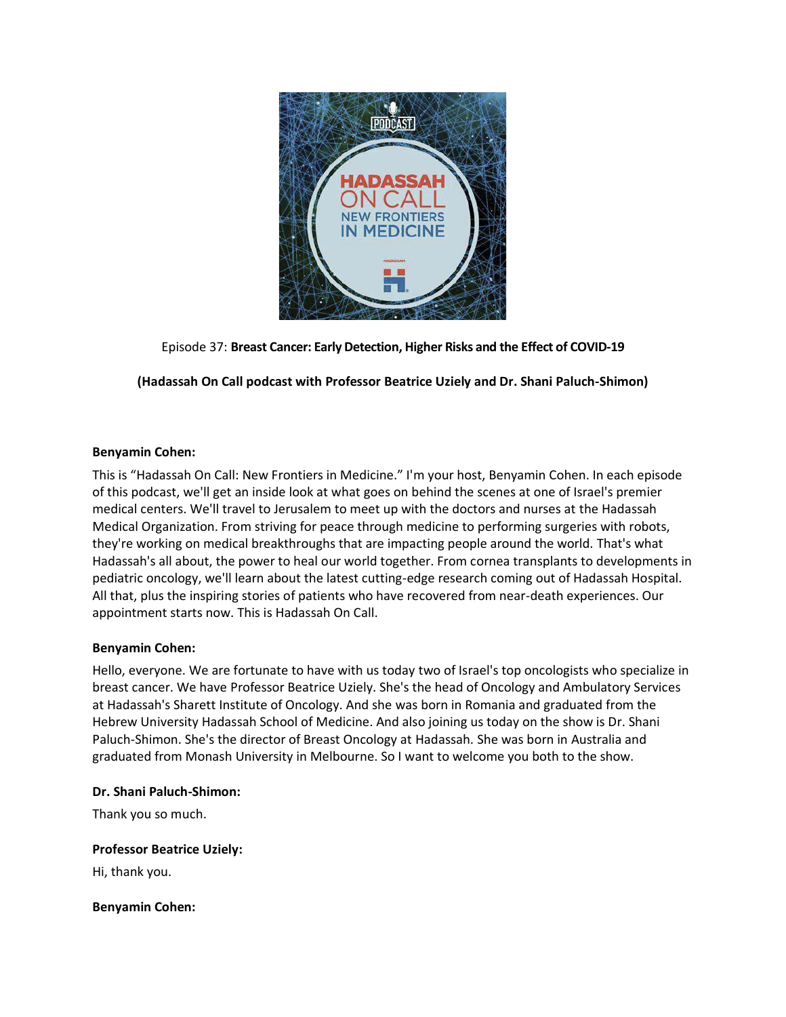

Episode 37: **Breast Cancer: Early Detection, Higher Risks and the Effect of COVID-19**

**(Hadassah On Call podcast with Professor Beatrice Uziely and Dr. Shani Paluch-Shimon)**

## **Benyamin Cohen:**

This is "Hadassah On Call: New Frontiers in Medicine." I'm your host, Benyamin Cohen. In each episode of this podcast, we'll get an inside look at what goes on behind the scenes at one of Israel's premier medical centers. We'll travel to Jerusalem to meet up with the doctors and nurses at the Hadassah Medical Organization. From striving for peace through medicine to performing surgeries with robots, they're working on medical breakthroughs that are impacting people around the world. That's what Hadassah's all about, the power to heal our world together. From cornea transplants to developments in pediatric oncology, we'll learn about the latest cutting-edge research coming out of Hadassah Hospital. All that, plus the inspiring stories of patients who have recovered from near-death experiences. Our appointment starts now. This is Hadassah On Call.

## **Benyamin Cohen:**

Hello, everyone. We are fortunate to have with us today two of Israel's top oncologists who specialize in breast cancer. We have Professor Beatrice Uziely. She's the head of Oncology and Ambulatory Services at Hadassah's Sharett Institute of Oncology. And she was born in Romania and graduated from the Hebrew University Hadassah School of Medicine. And also joining us today on the show is Dr. Shani Paluch-Shimon. She's the director of Breast Oncology at Hadassah. She was born in Australia and graduated from Monash University in Melbourne. So I want to welcome you both to the show.

#### **Dr. Shani Paluch-Shimon:**

Thank you so much.

**Professor Beatrice Uziely:**

Hi, thank you.

**Benyamin Cohen:**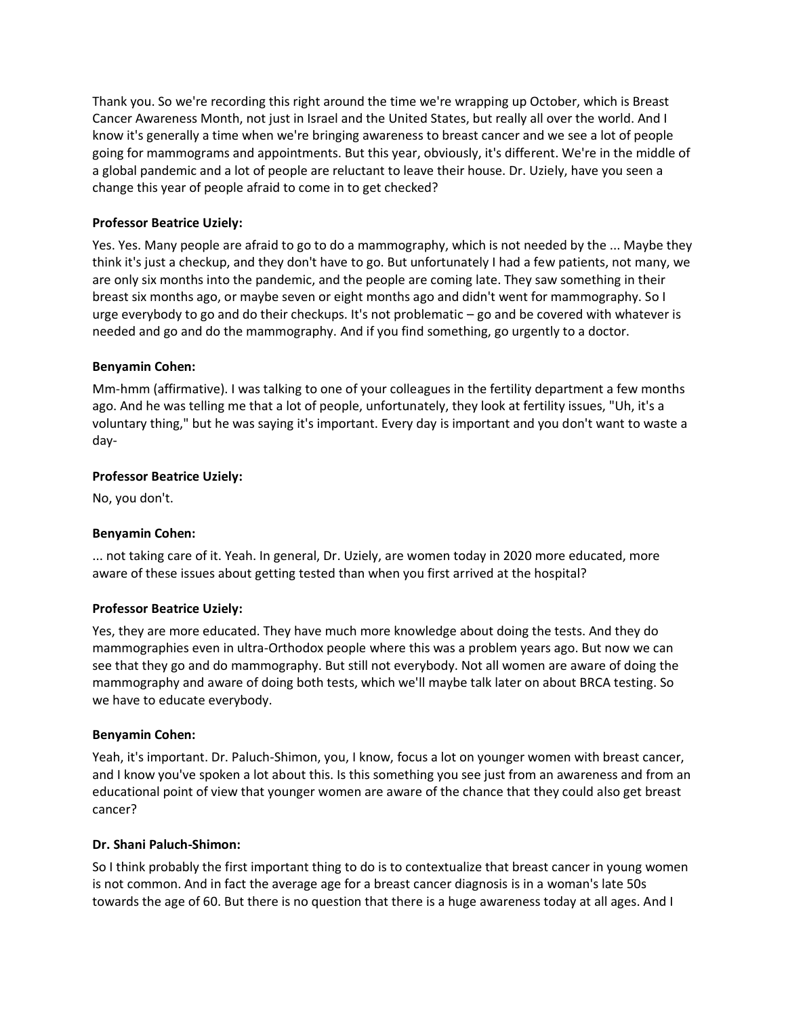Thank you. So we're recording this right around the time we're wrapping up October, which is Breast Cancer Awareness Month, not just in Israel and the United States, but really all over the world. And I know it's generally a time when we're bringing awareness to breast cancer and we see a lot of people going for mammograms and appointments. But this year, obviously, it's different. We're in the middle of a global pandemic and a lot of people are reluctant to leave their house. Dr. Uziely, have you seen a change this year of people afraid to come in to get checked?

# **Professor Beatrice Uziely:**

Yes. Yes. Many people are afraid to go to do a mammography, which is not needed by the ... Maybe they think it's just a checkup, and they don't have to go. But unfortunately I had a few patients, not many, we are only six months into the pandemic, and the people are coming late. They saw something in their breast six months ago, or maybe seven or eight months ago and didn't went for mammography. So I urge everybody to go and do their checkups. It's not problematic – go and be covered with whatever is needed and go and do the mammography. And if you find something, go urgently to a doctor.

## **Benyamin Cohen:**

Mm-hmm (affirmative). I was talking to one of your colleagues in the fertility department a few months ago. And he was telling me that a lot of people, unfortunately, they look at fertility issues, "Uh, it's a voluntary thing," but he was saying it's important. Every day is important and you don't want to waste a day-

# **Professor Beatrice Uziely:**

No, you don't.

## **Benyamin Cohen:**

... not taking care of it. Yeah. In general, Dr. Uziely, are women today in 2020 more educated, more aware of these issues about getting tested than when you first arrived at the hospital?

## **Professor Beatrice Uziely:**

Yes, they are more educated. They have much more knowledge about doing the tests. And they do mammographies even in ultra-Orthodox people where this was a problem years ago. But now we can see that they go and do mammography. But still not everybody. Not all women are aware of doing the mammography and aware of doing both tests, which we'll maybe talk later on about BRCA testing. So we have to educate everybody.

## **Benyamin Cohen:**

Yeah, it's important. Dr. Paluch-Shimon, you, I know, focus a lot on younger women with breast cancer, and I know you've spoken a lot about this. Is this something you see just from an awareness and from an educational point of view that younger women are aware of the chance that they could also get breast cancer?

## **Dr. Shani Paluch-Shimon:**

So I think probably the first important thing to do is to contextualize that breast cancer in young women is not common. And in fact the average age for a breast cancer diagnosis is in a woman's late 50s towards the age of 60. But there is no question that there is a huge awareness today at all ages. And I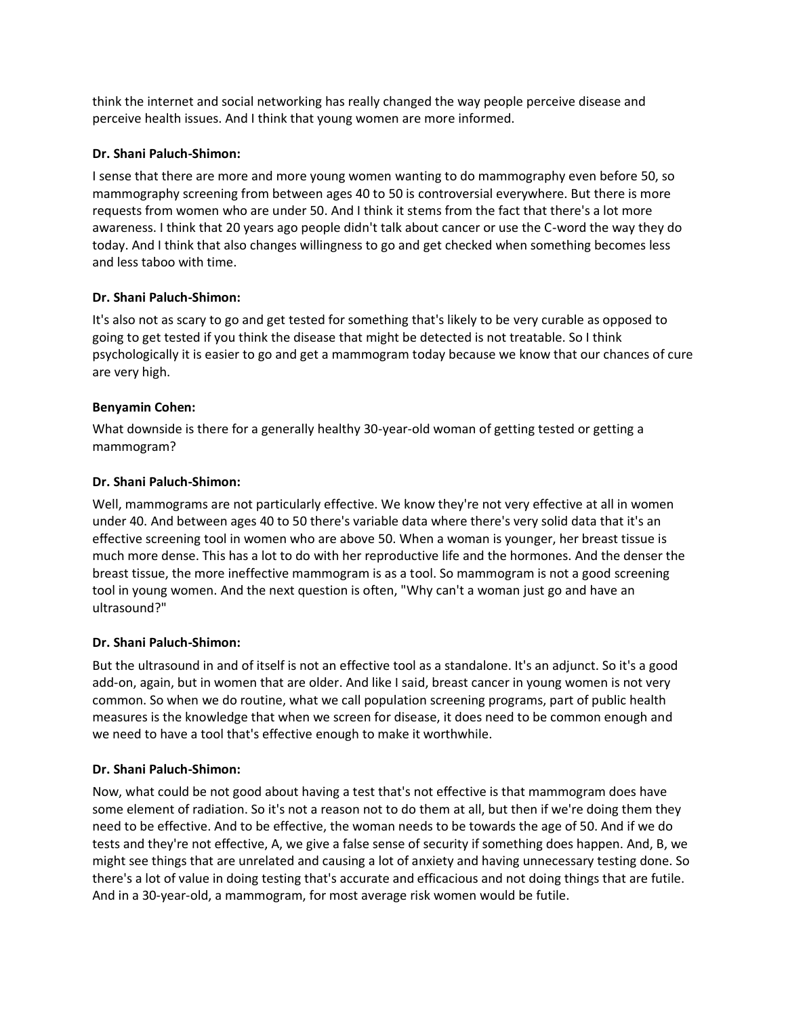think the internet and social networking has really changed the way people perceive disease and perceive health issues. And I think that young women are more informed.

## **Dr. Shani Paluch-Shimon:**

I sense that there are more and more young women wanting to do mammography even before 50, so mammography screening from between ages 40 to 50 is controversial everywhere. But there is more requests from women who are under 50. And I think it stems from the fact that there's a lot more awareness. I think that 20 years ago people didn't talk about cancer or use the C-word the way they do today. And I think that also changes willingness to go and get checked when something becomes less and less taboo with time.

# **Dr. Shani Paluch-Shimon:**

It's also not as scary to go and get tested for something that's likely to be very curable as opposed to going to get tested if you think the disease that might be detected is not treatable. So I think psychologically it is easier to go and get a mammogram today because we know that our chances of cure are very high.

# **Benyamin Cohen:**

What downside is there for a generally healthy 30-year-old woman of getting tested or getting a mammogram?

# **Dr. Shani Paluch-Shimon:**

Well, mammograms are not particularly effective. We know they're not very effective at all in women under 40. And between ages 40 to 50 there's variable data where there's very solid data that it's an effective screening tool in women who are above 50. When a woman is younger, her breast tissue is much more dense. This has a lot to do with her reproductive life and the hormones. And the denser the breast tissue, the more ineffective mammogram is as a tool. So mammogram is not a good screening tool in young women. And the next question is often, "Why can't a woman just go and have an ultrasound?"

# **Dr. Shani Paluch-Shimon:**

But the ultrasound in and of itself is not an effective tool as a standalone. It's an adjunct. So it's a good add-on, again, but in women that are older. And like I said, breast cancer in young women is not very common. So when we do routine, what we call population screening programs, part of public health measures is the knowledge that when we screen for disease, it does need to be common enough and we need to have a tool that's effective enough to make it worthwhile.

# **Dr. Shani Paluch-Shimon:**

Now, what could be not good about having a test that's not effective is that mammogram does have some element of radiation. So it's not a reason not to do them at all, but then if we're doing them they need to be effective. And to be effective, the woman needs to be towards the age of 50. And if we do tests and they're not effective, A, we give a false sense of security if something does happen. And, B, we might see things that are unrelated and causing a lot of anxiety and having unnecessary testing done. So there's a lot of value in doing testing that's accurate and efficacious and not doing things that are futile. And in a 30-year-old, a mammogram, for most average risk women would be futile.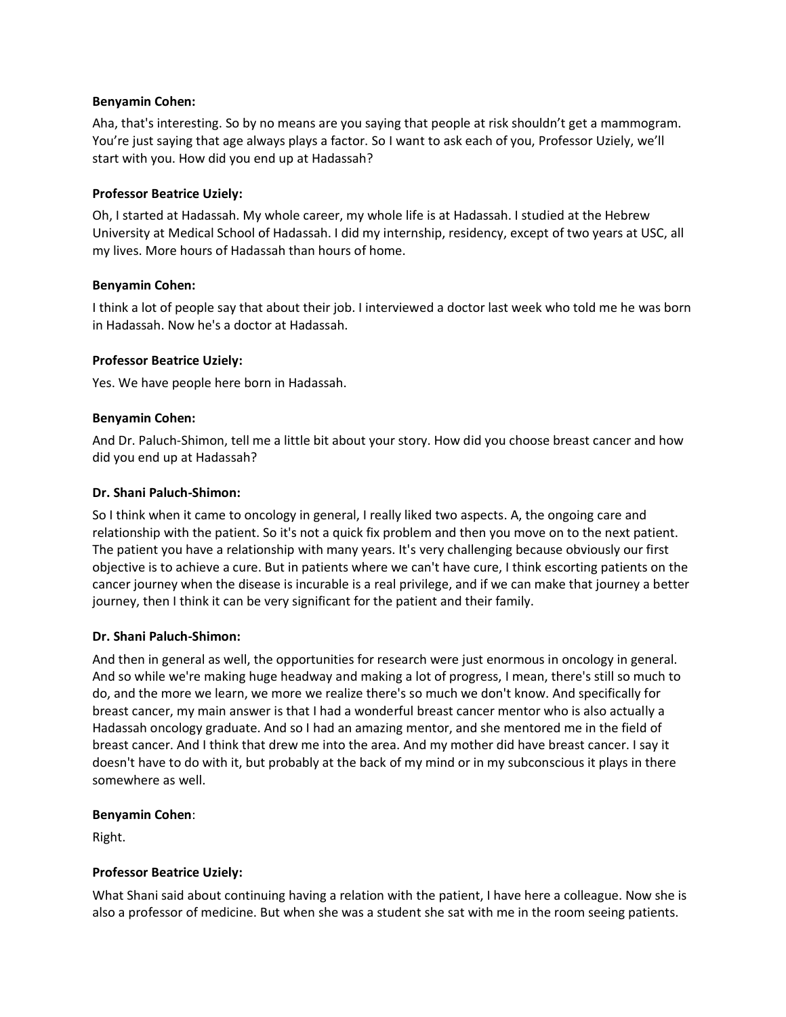## **Benyamin Cohen:**

Aha, that's interesting. So by no means are you saying that people at risk shouldn't get a mammogram. You're just saying that age always plays a factor. So I want to ask each of you, Professor Uziely, we'll start with you. How did you end up at Hadassah?

#### **Professor Beatrice Uziely:**

Oh, I started at Hadassah. My whole career, my whole life is at Hadassah. I studied at the Hebrew University at Medical School of Hadassah. I did my internship, residency, except of two years at USC, all my lives. More hours of Hadassah than hours of home.

#### **Benyamin Cohen:**

I think a lot of people say that about their job. I interviewed a doctor last week who told me he was born in Hadassah. Now he's a doctor at Hadassah.

#### **Professor Beatrice Uziely:**

Yes. We have people here born in Hadassah.

#### **Benyamin Cohen:**

And Dr. Paluch-Shimon, tell me a little bit about your story. How did you choose breast cancer and how did you end up at Hadassah?

#### **Dr. Shani Paluch-Shimon:**

So I think when it came to oncology in general, I really liked two aspects. A, the ongoing care and relationship with the patient. So it's not a quick fix problem and then you move on to the next patient. The patient you have a relationship with many years. It's very challenging because obviously our first objective is to achieve a cure. But in patients where we can't have cure, I think escorting patients on the cancer journey when the disease is incurable is a real privilege, and if we can make that journey a better journey, then I think it can be very significant for the patient and their family.

#### **Dr. Shani Paluch-Shimon:**

And then in general as well, the opportunities for research were just enormous in oncology in general. And so while we're making huge headway and making a lot of progress, I mean, there's still so much to do, and the more we learn, we more we realize there's so much we don't know. And specifically for breast cancer, my main answer is that I had a wonderful breast cancer mentor who is also actually a Hadassah oncology graduate. And so I had an amazing mentor, and she mentored me in the field of breast cancer. And I think that drew me into the area. And my mother did have breast cancer. I say it doesn't have to do with it, but probably at the back of my mind or in my subconscious it plays in there somewhere as well.

#### **Benyamin Cohen**:

Right.

## **Professor Beatrice Uziely:**

What Shani said about continuing having a relation with the patient, I have here a colleague. Now she is also a professor of medicine. But when she was a student she sat with me in the room seeing patients.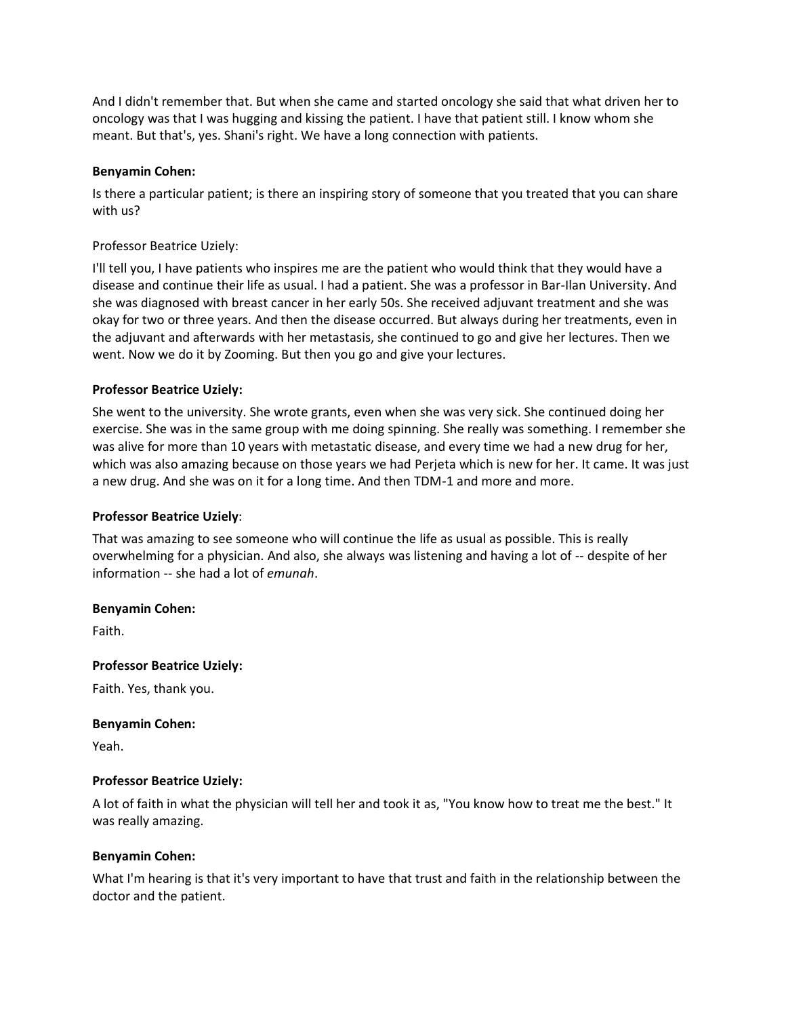And I didn't remember that. But when she came and started oncology she said that what driven her to oncology was that I was hugging and kissing the patient. I have that patient still. I know whom she meant. But that's, yes. Shani's right. We have a long connection with patients.

#### **Benyamin Cohen:**

Is there a particular patient; is there an inspiring story of someone that you treated that you can share with us?

#### Professor Beatrice Uziely:

I'll tell you, I have patients who inspires me are the patient who would think that they would have a disease and continue their life as usual. I had a patient. She was a professor in Bar-Ilan University. And she was diagnosed with breast cancer in her early 50s. She received adjuvant treatment and she was okay for two or three years. And then the disease occurred. But always during her treatments, even in the adjuvant and afterwards with her metastasis, she continued to go and give her lectures. Then we went. Now we do it by Zooming. But then you go and give your lectures.

#### **Professor Beatrice Uziely:**

She went to the university. She wrote grants, even when she was very sick. She continued doing her exercise. She was in the same group with me doing spinning. She really was something. I remember she was alive for more than 10 years with metastatic disease, and every time we had a new drug for her, which was also amazing because on those years we had Perjeta which is new for her. It came. It was just a new drug. And she was on it for a long time. And then TDM-1 and more and more.

#### **Professor Beatrice Uziely**:

That was amazing to see someone who will continue the life as usual as possible. This is really overwhelming for a physician. And also, she always was listening and having a lot of -- despite of her information -- she had a lot of *emunah*.

#### **Benyamin Cohen:**

Faith.

#### **Professor Beatrice Uziely:**

Faith. Yes, thank you.

#### **Benyamin Cohen:**

Yeah.

#### **Professor Beatrice Uziely:**

A lot of faith in what the physician will tell her and took it as, "You know how to treat me the best." It was really amazing.

#### **Benyamin Cohen:**

What I'm hearing is that it's very important to have that trust and faith in the relationship between the doctor and the patient.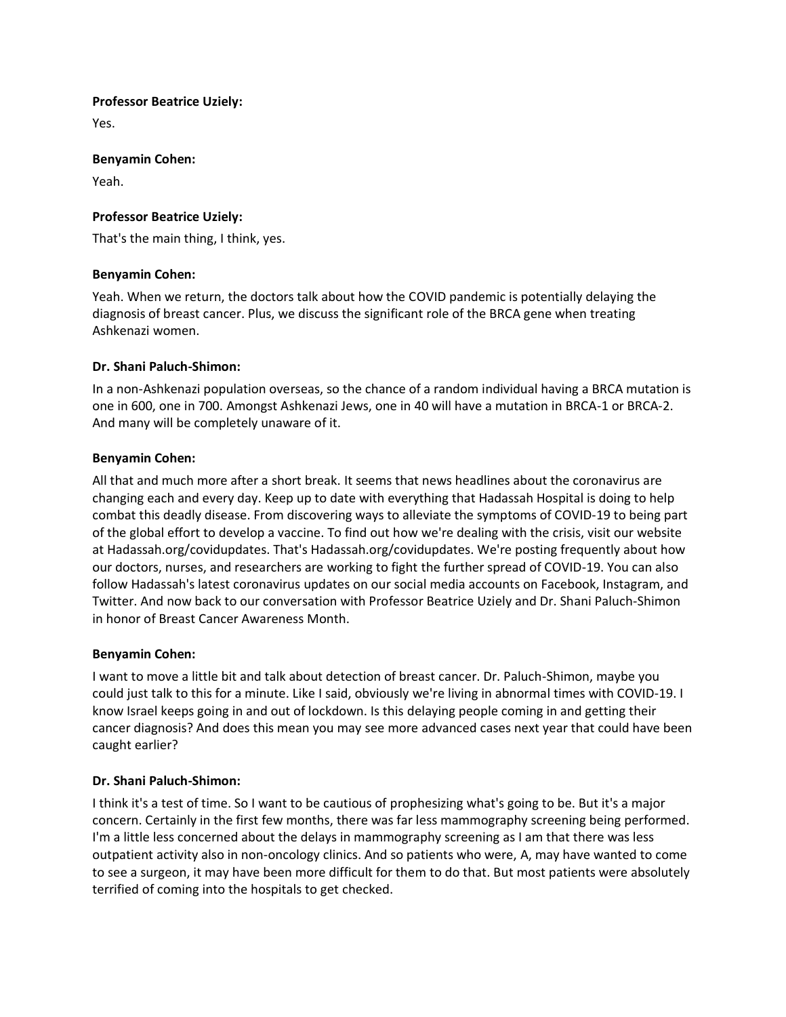#### **Professor Beatrice Uziely:**

Yes.

#### **Benyamin Cohen:**

Yeah.

## **Professor Beatrice Uziely:**

That's the main thing, I think, yes.

## **Benyamin Cohen:**

Yeah. When we return, the doctors talk about how the COVID pandemic is potentially delaying the diagnosis of breast cancer. Plus, we discuss the significant role of the BRCA gene when treating Ashkenazi women.

# **Dr. Shani Paluch-Shimon:**

In a non-Ashkenazi population overseas, so the chance of a random individual having a BRCA mutation is one in 600, one in 700. Amongst Ashkenazi Jews, one in 40 will have a mutation in BRCA-1 or BRCA-2. And many will be completely unaware of it.

# **Benyamin Cohen:**

All that and much more after a short break. It seems that news headlines about the coronavirus are changing each and every day. Keep up to date with everything that Hadassah Hospital is doing to help combat this deadly disease. From discovering ways to alleviate the symptoms of COVID-19 to being part of the global effort to develop a vaccine. To find out how we're dealing with the crisis, visit our website at Hadassah.org/covidupdates. That's Hadassah.org/covidupdates. We're posting frequently about how our doctors, nurses, and researchers are working to fight the further spread of COVID-19. You can also follow Hadassah's latest coronavirus updates on our social media accounts on Facebook, Instagram, and Twitter. And now back to our conversation with Professor Beatrice Uziely and Dr. Shani Paluch-Shimon in honor of Breast Cancer Awareness Month.

## **Benyamin Cohen:**

I want to move a little bit and talk about detection of breast cancer. Dr. Paluch-Shimon, maybe you could just talk to this for a minute. Like I said, obviously we're living in abnormal times with COVID-19. I know Israel keeps going in and out of lockdown. Is this delaying people coming in and getting their cancer diagnosis? And does this mean you may see more advanced cases next year that could have been caught earlier?

# **Dr. Shani Paluch-Shimon:**

I think it's a test of time. So I want to be cautious of prophesizing what's going to be. But it's a major concern. Certainly in the first few months, there was far less mammography screening being performed. I'm a little less concerned about the delays in mammography screening as I am that there was less outpatient activity also in non-oncology clinics. And so patients who were, A, may have wanted to come to see a surgeon, it may have been more difficult for them to do that. But most patients were absolutely terrified of coming into the hospitals to get checked.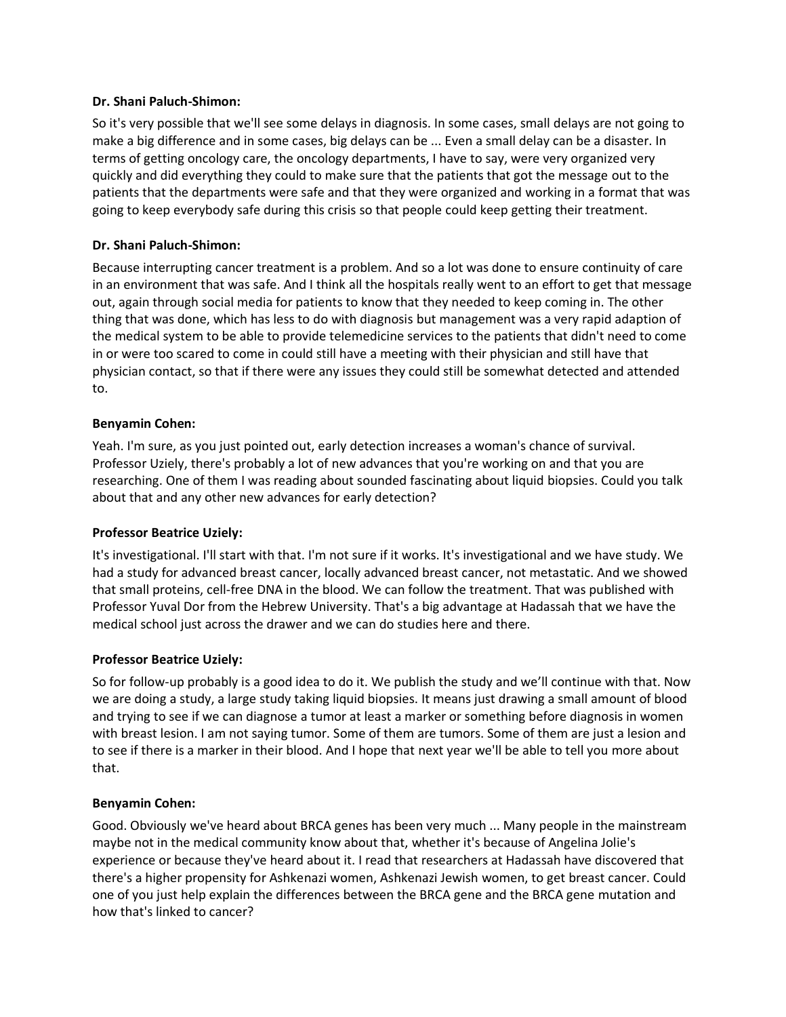## **Dr. Shani Paluch-Shimon:**

So it's very possible that we'll see some delays in diagnosis. In some cases, small delays are not going to make a big difference and in some cases, big delays can be ... Even a small delay can be a disaster. In terms of getting oncology care, the oncology departments, I have to say, were very organized very quickly and did everything they could to make sure that the patients that got the message out to the patients that the departments were safe and that they were organized and working in a format that was going to keep everybody safe during this crisis so that people could keep getting their treatment.

# **Dr. Shani Paluch-Shimon:**

Because interrupting cancer treatment is a problem. And so a lot was done to ensure continuity of care in an environment that was safe. And I think all the hospitals really went to an effort to get that message out, again through social media for patients to know that they needed to keep coming in. The other thing that was done, which has less to do with diagnosis but management was a very rapid adaption of the medical system to be able to provide telemedicine services to the patients that didn't need to come in or were too scared to come in could still have a meeting with their physician and still have that physician contact, so that if there were any issues they could still be somewhat detected and attended to.

## **Benyamin Cohen:**

Yeah. I'm sure, as you just pointed out, early detection increases a woman's chance of survival. Professor Uziely, there's probably a lot of new advances that you're working on and that you are researching. One of them I was reading about sounded fascinating about liquid biopsies. Could you talk about that and any other new advances for early detection?

## **Professor Beatrice Uziely:**

It's investigational. I'll start with that. I'm not sure if it works. It's investigational and we have study. We had a study for advanced breast cancer, locally advanced breast cancer, not metastatic. And we showed that small proteins, cell-free DNA in the blood. We can follow the treatment. That was published with Professor Yuval Dor from the Hebrew University. That's a big advantage at Hadassah that we have the medical school just across the drawer and we can do studies here and there.

## **Professor Beatrice Uziely:**

So for follow-up probably is a good idea to do it. We publish the study and we'll continue with that. Now we are doing a study, a large study taking liquid biopsies. It means just drawing a small amount of blood and trying to see if we can diagnose a tumor at least a marker or something before diagnosis in women with breast lesion. I am not saying tumor. Some of them are tumors. Some of them are just a lesion and to see if there is a marker in their blood. And I hope that next year we'll be able to tell you more about that.

## **Benyamin Cohen:**

Good. Obviously we've heard about BRCA genes has been very much ... Many people in the mainstream maybe not in the medical community know about that, whether it's because of Angelina Jolie's experience or because they've heard about it. I read that researchers at Hadassah have discovered that there's a higher propensity for Ashkenazi women, Ashkenazi Jewish women, to get breast cancer. Could one of you just help explain the differences between the BRCA gene and the BRCA gene mutation and how that's linked to cancer?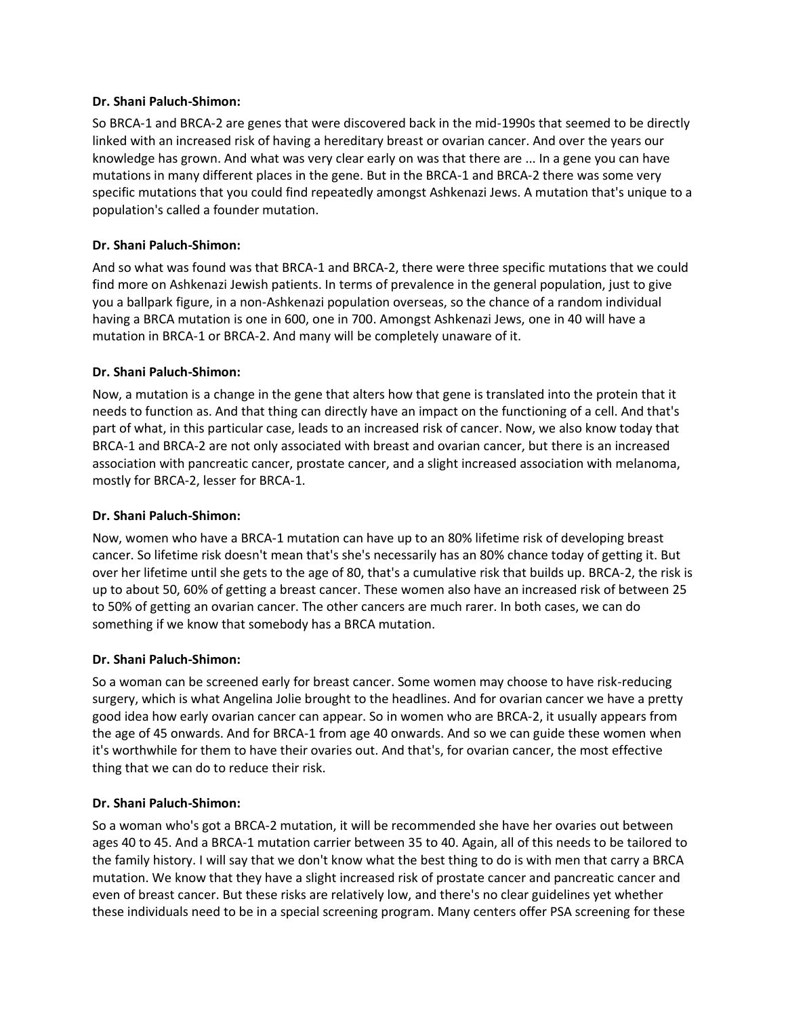## **Dr. Shani Paluch-Shimon:**

So BRCA-1 and BRCA-2 are genes that were discovered back in the mid-1990s that seemed to be directly linked with an increased risk of having a hereditary breast or ovarian cancer. And over the years our knowledge has grown. And what was very clear early on was that there are ... In a gene you can have mutations in many different places in the gene. But in the BRCA-1 and BRCA-2 there was some very specific mutations that you could find repeatedly amongst Ashkenazi Jews. A mutation that's unique to a population's called a founder mutation.

## **Dr. Shani Paluch-Shimon:**

And so what was found was that BRCA-1 and BRCA-2, there were three specific mutations that we could find more on Ashkenazi Jewish patients. In terms of prevalence in the general population, just to give you a ballpark figure, in a non-Ashkenazi population overseas, so the chance of a random individual having a BRCA mutation is one in 600, one in 700. Amongst Ashkenazi Jews, one in 40 will have a mutation in BRCA-1 or BRCA-2. And many will be completely unaware of it.

## **Dr. Shani Paluch-Shimon:**

Now, a mutation is a change in the gene that alters how that gene is translated into the protein that it needs to function as. And that thing can directly have an impact on the functioning of a cell. And that's part of what, in this particular case, leads to an increased risk of cancer. Now, we also know today that BRCA-1 and BRCA-2 are not only associated with breast and ovarian cancer, but there is an increased association with pancreatic cancer, prostate cancer, and a slight increased association with melanoma, mostly for BRCA-2, lesser for BRCA-1.

## **Dr. Shani Paluch-Shimon:**

Now, women who have a BRCA-1 mutation can have up to an 80% lifetime risk of developing breast cancer. So lifetime risk doesn't mean that's she's necessarily has an 80% chance today of getting it. But over her lifetime until she gets to the age of 80, that's a cumulative risk that builds up. BRCA-2, the risk is up to about 50, 60% of getting a breast cancer. These women also have an increased risk of between 25 to 50% of getting an ovarian cancer. The other cancers are much rarer. In both cases, we can do something if we know that somebody has a BRCA mutation.

## **Dr. Shani Paluch-Shimon:**

So a woman can be screened early for breast cancer. Some women may choose to have risk-reducing surgery, which is what Angelina Jolie brought to the headlines. And for ovarian cancer we have a pretty good idea how early ovarian cancer can appear. So in women who are BRCA-2, it usually appears from the age of 45 onwards. And for BRCA-1 from age 40 onwards. And so we can guide these women when it's worthwhile for them to have their ovaries out. And that's, for ovarian cancer, the most effective thing that we can do to reduce their risk.

## **Dr. Shani Paluch-Shimon:**

So a woman who's got a BRCA-2 mutation, it will be recommended she have her ovaries out between ages 40 to 45. And a BRCA-1 mutation carrier between 35 to 40. Again, all of this needs to be tailored to the family history. I will say that we don't know what the best thing to do is with men that carry a BRCA mutation. We know that they have a slight increased risk of prostate cancer and pancreatic cancer and even of breast cancer. But these risks are relatively low, and there's no clear guidelines yet whether these individuals need to be in a special screening program. Many centers offer PSA screening for these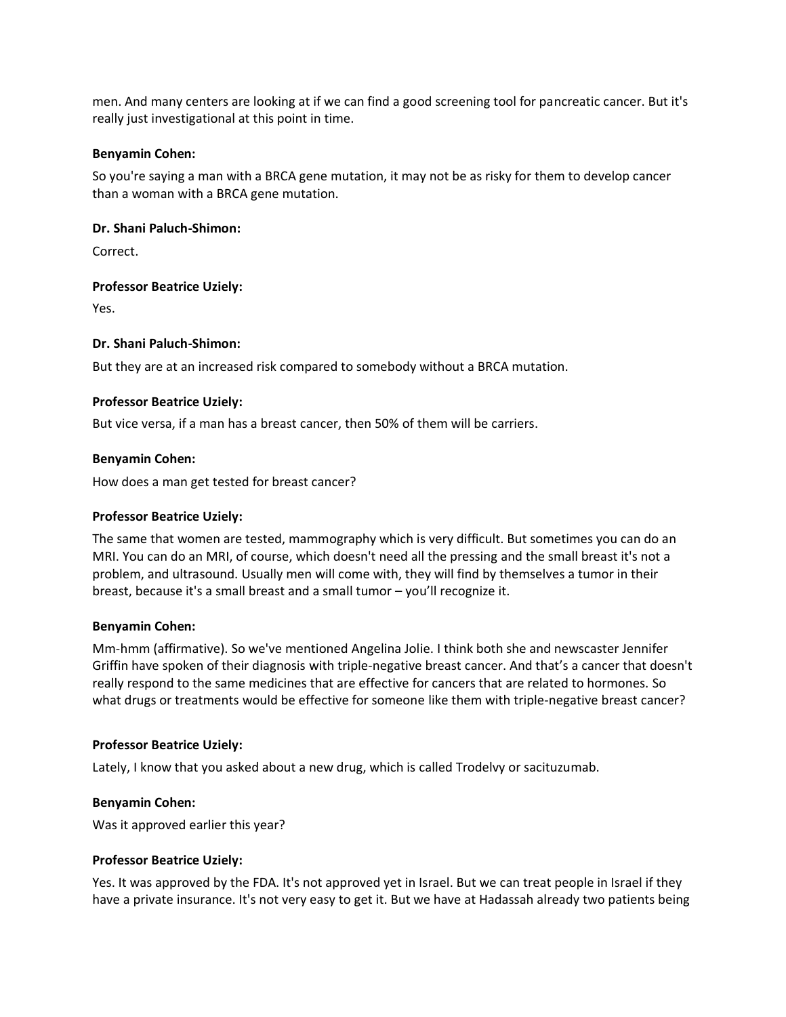men. And many centers are looking at if we can find a good screening tool for pancreatic cancer. But it's really just investigational at this point in time.

#### **Benyamin Cohen:**

So you're saying a man with a BRCA gene mutation, it may not be as risky for them to develop cancer than a woman with a BRCA gene mutation.

#### **Dr. Shani Paluch-Shimon:**

Correct.

## **Professor Beatrice Uziely:**

Yes.

## **Dr. Shani Paluch-Shimon:**

But they are at an increased risk compared to somebody without a BRCA mutation.

#### **Professor Beatrice Uziely:**

But vice versa, if a man has a breast cancer, then 50% of them will be carriers.

#### **Benyamin Cohen:**

How does a man get tested for breast cancer?

#### **Professor Beatrice Uziely:**

The same that women are tested, mammography which is very difficult. But sometimes you can do an MRI. You can do an MRI, of course, which doesn't need all the pressing and the small breast it's not a problem, and ultrasound. Usually men will come with, they will find by themselves a tumor in their breast, because it's a small breast and a small tumor – you'll recognize it.

#### **Benyamin Cohen:**

Mm-hmm (affirmative). So we've mentioned Angelina Jolie. I think both she and newscaster Jennifer Griffin have spoken of their diagnosis with triple-negative breast cancer. And that's a cancer that doesn't really respond to the same medicines that are effective for cancers that are related to hormones. So what drugs or treatments would be effective for someone like them with triple-negative breast cancer?

## **Professor Beatrice Uziely:**

Lately, I know that you asked about a new drug, which is called Trodelvy or sacituzumab.

#### **Benyamin Cohen:**

Was it approved earlier this year?

#### **Professor Beatrice Uziely:**

Yes. It was approved by the FDA. It's not approved yet in Israel. But we can treat people in Israel if they have a private insurance. It's not very easy to get it. But we have at Hadassah already two patients being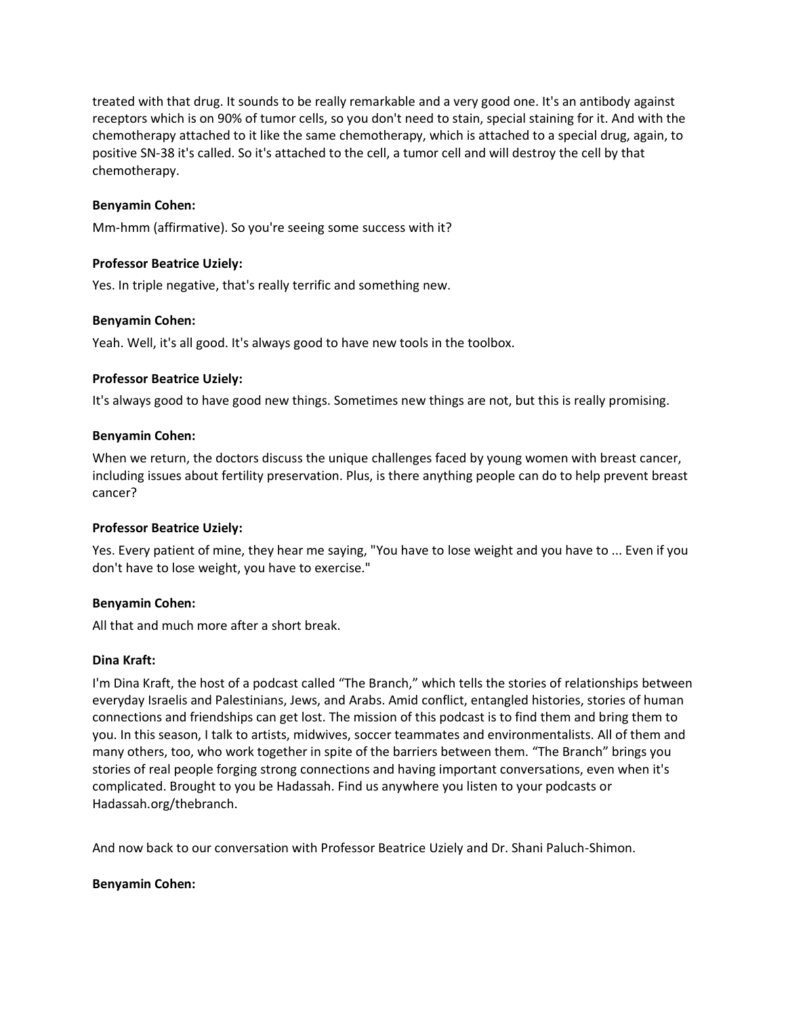treated with that drug. It sounds to be really remarkable and a very good one. It's an antibody against receptors which is on 90% of tumor cells, so you don't need to stain, special staining for it. And with the chemotherapy attached to it like the same chemotherapy, which is attached to a special drug, again, to positive SN-38 it's called. So it's attached to the cell, a tumor cell and will destroy the cell by that chemotherapy.

## **Benyamin Cohen:**

Mm-hmm (affirmative). So you're seeing some success with it?

#### **Professor Beatrice Uziely:**

Yes. In triple negative, that's really terrific and something new.

#### **Benyamin Cohen:**

Yeah. Well, it's all good. It's always good to have new tools in the toolbox.

#### **Professor Beatrice Uziely:**

It's always good to have good new things. Sometimes new things are not, but this is really promising.

#### **Benyamin Cohen:**

When we return, the doctors discuss the unique challenges faced by young women with breast cancer, including issues about fertility preservation. Plus, is there anything people can do to help prevent breast cancer?

#### **Professor Beatrice Uziely:**

Yes. Every patient of mine, they hear me saying, "You have to lose weight and you have to ... Even if you don't have to lose weight, you have to exercise."

## **Benyamin Cohen:**

All that and much more after a short break.

#### **Dina Kraft:**

I'm Dina Kraft, the host of a podcast called "The Branch," which tells the stories of relationships between everyday Israelis and Palestinians, Jews, and Arabs. Amid conflict, entangled histories, stories of human connections and friendships can get lost. The mission of this podcast is to find them and bring them to you. In this season, I talk to artists, midwives, soccer teammates and environmentalists. All of them and many others, too, who work together in spite of the barriers between them. "The Branch" brings you stories of real people forging strong connections and having important conversations, even when it's complicated. Brought to you be Hadassah. Find us anywhere you listen to your podcasts or Hadassah.org/thebranch.

And now back to our conversation with Professor Beatrice Uziely and Dr. Shani Paluch-Shimon.

## **Benyamin Cohen:**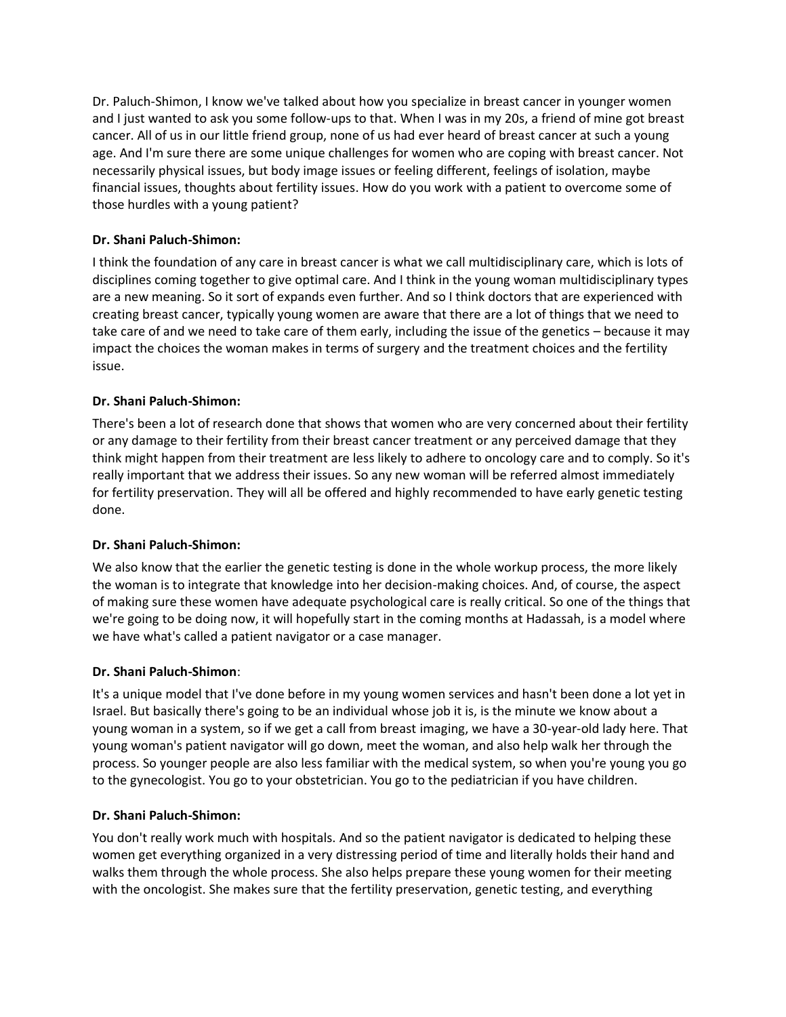Dr. Paluch-Shimon, I know we've talked about how you specialize in breast cancer in younger women and I just wanted to ask you some follow-ups to that. When I was in my 20s, a friend of mine got breast cancer. All of us in our little friend group, none of us had ever heard of breast cancer at such a young age. And I'm sure there are some unique challenges for women who are coping with breast cancer. Not necessarily physical issues, but body image issues or feeling different, feelings of isolation, maybe financial issues, thoughts about fertility issues. How do you work with a patient to overcome some of those hurdles with a young patient?

# **Dr. Shani Paluch-Shimon:**

I think the foundation of any care in breast cancer is what we call multidisciplinary care, which is lots of disciplines coming together to give optimal care. And I think in the young woman multidisciplinary types are a new meaning. So it sort of expands even further. And so I think doctors that are experienced with creating breast cancer, typically young women are aware that there are a lot of things that we need to take care of and we need to take care of them early, including the issue of the genetics – because it may impact the choices the woman makes in terms of surgery and the treatment choices and the fertility issue.

# **Dr. Shani Paluch-Shimon:**

There's been a lot of research done that shows that women who are very concerned about their fertility or any damage to their fertility from their breast cancer treatment or any perceived damage that they think might happen from their treatment are less likely to adhere to oncology care and to comply. So it's really important that we address their issues. So any new woman will be referred almost immediately for fertility preservation. They will all be offered and highly recommended to have early genetic testing done.

# **Dr. Shani Paluch-Shimon:**

We also know that the earlier the genetic testing is done in the whole workup process, the more likely the woman is to integrate that knowledge into her decision-making choices. And, of course, the aspect of making sure these women have adequate psychological care is really critical. So one of the things that we're going to be doing now, it will hopefully start in the coming months at Hadassah, is a model where we have what's called a patient navigator or a case manager.

# **Dr. Shani Paluch-Shimon**:

It's a unique model that I've done before in my young women services and hasn't been done a lot yet in Israel. But basically there's going to be an individual whose job it is, is the minute we know about a young woman in a system, so if we get a call from breast imaging, we have a 30-year-old lady here. That young woman's patient navigator will go down, meet the woman, and also help walk her through the process. So younger people are also less familiar with the medical system, so when you're young you go to the gynecologist. You go to your obstetrician. You go to the pediatrician if you have children.

# **Dr. Shani Paluch-Shimon:**

You don't really work much with hospitals. And so the patient navigator is dedicated to helping these women get everything organized in a very distressing period of time and literally holds their hand and walks them through the whole process. She also helps prepare these young women for their meeting with the oncologist. She makes sure that the fertility preservation, genetic testing, and everything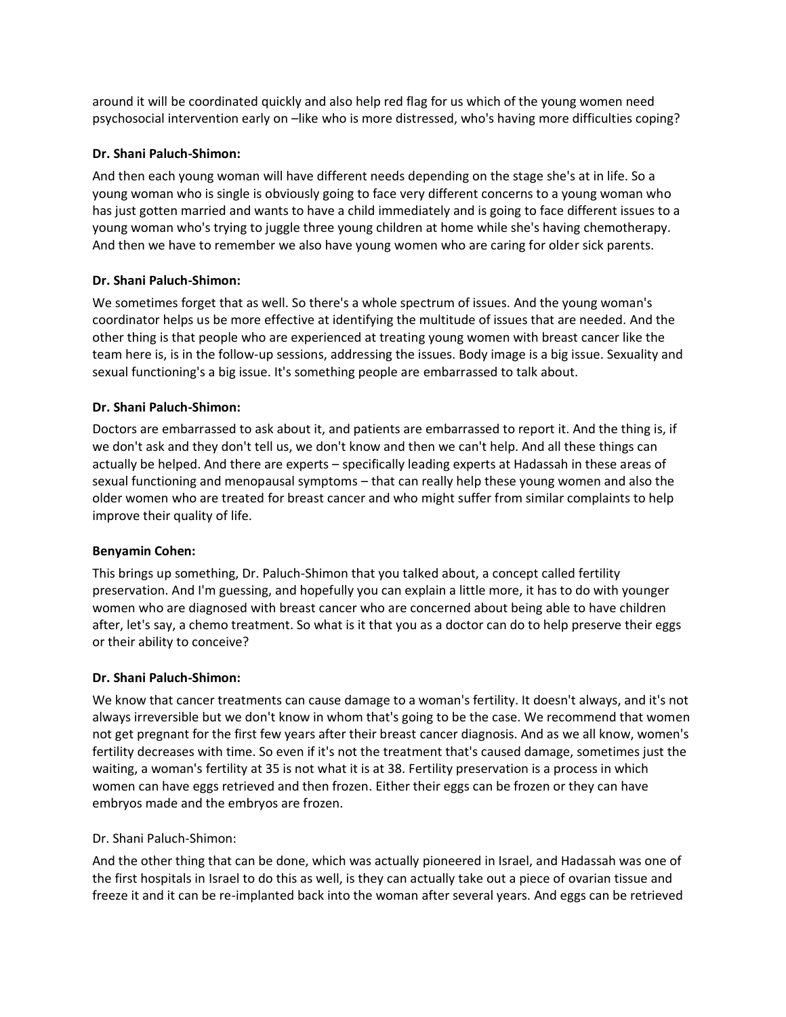around it will be coordinated quickly and also help red flag for us which of the young women need psychosocial intervention early on –like who is more distressed, who's having more difficulties coping?

# **Dr. Shani Paluch-Shimon:**

And then each young woman will have different needs depending on the stage she's at in life. So a young woman who is single is obviously going to face very different concerns to a young woman who has just gotten married and wants to have a child immediately and is going to face different issues to a young woman who's trying to juggle three young children at home while she's having chemotherapy. And then we have to remember we also have young women who are caring for older sick parents.

# **Dr. Shani Paluch-Shimon:**

We sometimes forget that as well. So there's a whole spectrum of issues. And the young woman's coordinator helps us be more effective at identifying the multitude of issues that are needed. And the other thing is that people who are experienced at treating young women with breast cancer like the team here is, is in the follow-up sessions, addressing the issues. Body image is a big issue. Sexuality and sexual functioning's a big issue. It's something people are embarrassed to talk about.

# **Dr. Shani Paluch-Shimon:**

Doctors are embarrassed to ask about it, and patients are embarrassed to report it. And the thing is, if we don't ask and they don't tell us, we don't know and then we can't help. And all these things can actually be helped. And there are experts – specifically leading experts at Hadassah in these areas of sexual functioning and menopausal symptoms – that can really help these young women and also the older women who are treated for breast cancer and who might suffer from similar complaints to help improve their quality of life.

## **Benyamin Cohen:**

This brings up something, Dr. Paluch-Shimon that you talked about, a concept called fertility preservation. And I'm guessing, and hopefully you can explain a little more, it has to do with younger women who are diagnosed with breast cancer who are concerned about being able to have children after, let's say, a chemo treatment. So what is it that you as a doctor can do to help preserve their eggs or their ability to conceive?

## **Dr. Shani Paluch-Shimon:**

We know that cancer treatments can cause damage to a woman's fertility. It doesn't always, and it's not always irreversible but we don't know in whom that's going to be the case. We recommend that women not get pregnant for the first few years after their breast cancer diagnosis. And as we all know, women's fertility decreases with time. So even if it's not the treatment that's caused damage, sometimes just the waiting, a woman's fertility at 35 is not what it is at 38. Fertility preservation is a process in which women can have eggs retrieved and then frozen. Either their eggs can be frozen or they can have embryos made and the embryos are frozen.

## Dr. Shani Paluch-Shimon:

And the other thing that can be done, which was actually pioneered in Israel, and Hadassah was one of the first hospitals in Israel to do this as well, is they can actually take out a piece of ovarian tissue and freeze it and it can be re-implanted back into the woman after several years. And eggs can be retrieved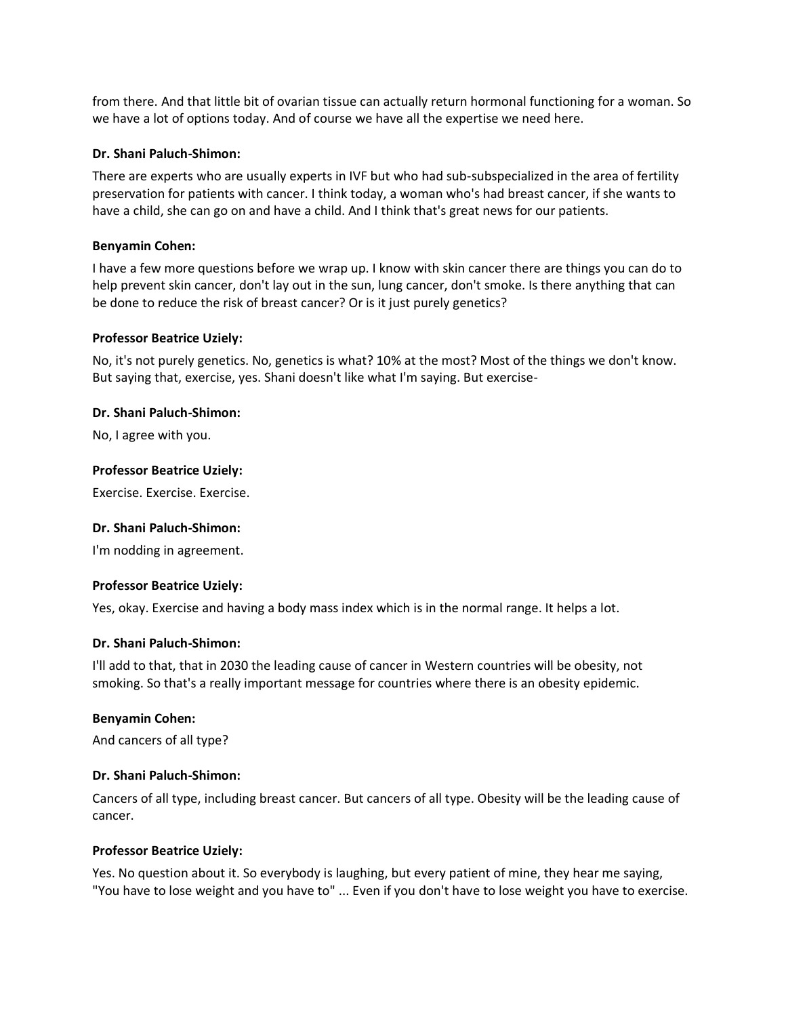from there. And that little bit of ovarian tissue can actually return hormonal functioning for a woman. So we have a lot of options today. And of course we have all the expertise we need here.

#### **Dr. Shani Paluch-Shimon:**

There are experts who are usually experts in IVF but who had sub-subspecialized in the area of fertility preservation for patients with cancer. I think today, a woman who's had breast cancer, if she wants to have a child, she can go on and have a child. And I think that's great news for our patients.

#### **Benyamin Cohen:**

I have a few more questions before we wrap up. I know with skin cancer there are things you can do to help prevent skin cancer, don't lay out in the sun, lung cancer, don't smoke. Is there anything that can be done to reduce the risk of breast cancer? Or is it just purely genetics?

#### **Professor Beatrice Uziely:**

No, it's not purely genetics. No, genetics is what? 10% at the most? Most of the things we don't know. But saying that, exercise, yes. Shani doesn't like what I'm saying. But exercise-

#### **Dr. Shani Paluch-Shimon:**

No, I agree with you.

#### **Professor Beatrice Uziely:**

Exercise. Exercise. Exercise.

#### **Dr. Shani Paluch-Shimon:**

I'm nodding in agreement.

## **Professor Beatrice Uziely:**

Yes, okay. Exercise and having a body mass index which is in the normal range. It helps a lot.

#### **Dr. Shani Paluch-Shimon:**

I'll add to that, that in 2030 the leading cause of cancer in Western countries will be obesity, not smoking. So that's a really important message for countries where there is an obesity epidemic.

#### **Benyamin Cohen:**

And cancers of all type?

#### **Dr. Shani Paluch-Shimon:**

Cancers of all type, including breast cancer. But cancers of all type. Obesity will be the leading cause of cancer.

#### **Professor Beatrice Uziely:**

Yes. No question about it. So everybody is laughing, but every patient of mine, they hear me saying, "You have to lose weight and you have to" ... Even if you don't have to lose weight you have to exercise.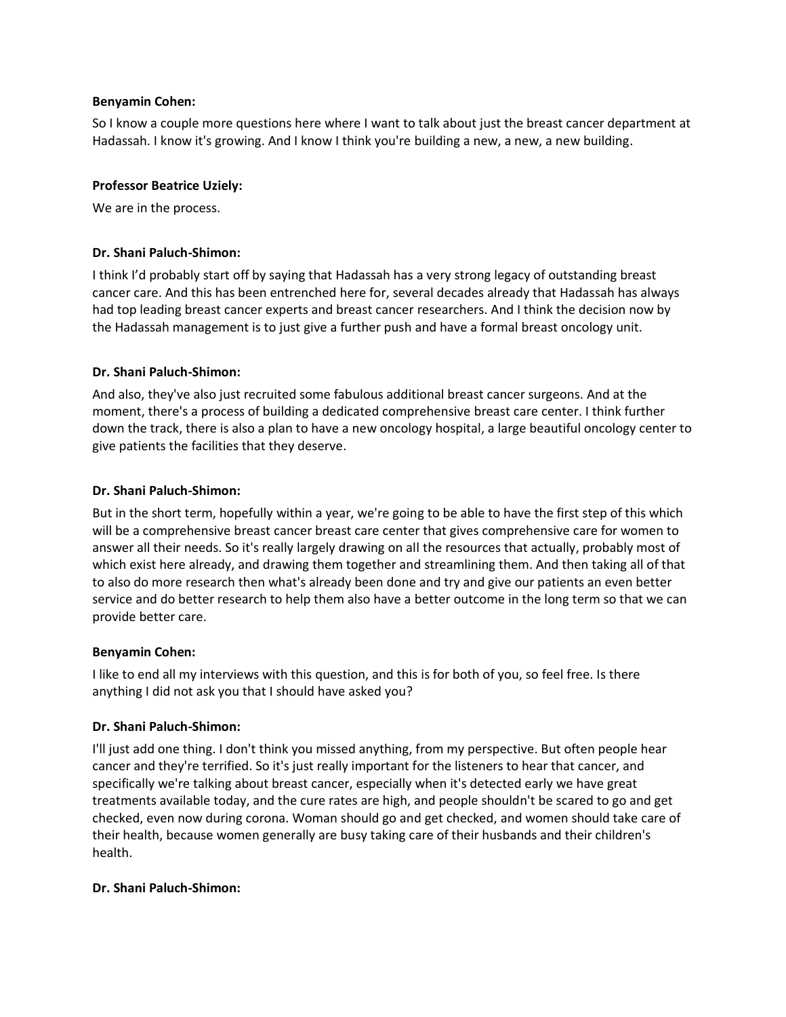#### **Benyamin Cohen:**

So I know a couple more questions here where I want to talk about just the breast cancer department at Hadassah. I know it's growing. And I know I think you're building a new, a new, a new building.

#### **Professor Beatrice Uziely:**

We are in the process.

## **Dr. Shani Paluch-Shimon:**

I think I'd probably start off by saying that Hadassah has a very strong legacy of outstanding breast cancer care. And this has been entrenched here for, several decades already that Hadassah has always had top leading breast cancer experts and breast cancer researchers. And I think the decision now by the Hadassah management is to just give a further push and have a formal breast oncology unit.

#### **Dr. Shani Paluch-Shimon:**

And also, they've also just recruited some fabulous additional breast cancer surgeons. And at the moment, there's a process of building a dedicated comprehensive breast care center. I think further down the track, there is also a plan to have a new oncology hospital, a large beautiful oncology center to give patients the facilities that they deserve.

#### **Dr. Shani Paluch-Shimon:**

But in the short term, hopefully within a year, we're going to be able to have the first step of this which will be a comprehensive breast cancer breast care center that gives comprehensive care for women to answer all their needs. So it's really largely drawing on all the resources that actually, probably most of which exist here already, and drawing them together and streamlining them. And then taking all of that to also do more research then what's already been done and try and give our patients an even better service and do better research to help them also have a better outcome in the long term so that we can provide better care.

## **Benyamin Cohen:**

I like to end all my interviews with this question, and this is for both of you, so feel free. Is there anything I did not ask you that I should have asked you?

## **Dr. Shani Paluch-Shimon:**

I'll just add one thing. I don't think you missed anything, from my perspective. But often people hear cancer and they're terrified. So it's just really important for the listeners to hear that cancer, and specifically we're talking about breast cancer, especially when it's detected early we have great treatments available today, and the cure rates are high, and people shouldn't be scared to go and get checked, even now during corona. Woman should go and get checked, and women should take care of their health, because women generally are busy taking care of their husbands and their children's health.

#### **Dr. Shani Paluch-Shimon:**